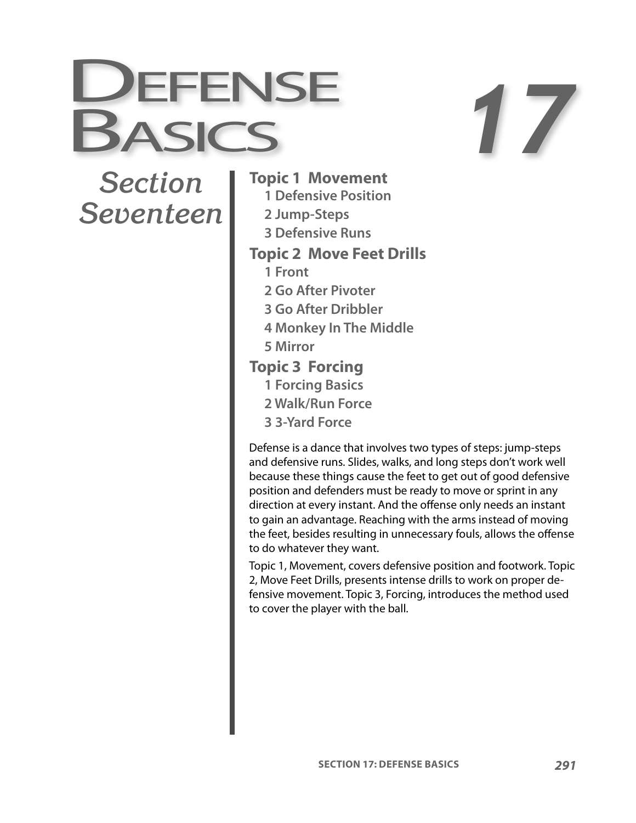

# *Section Seventeen*

#### **Topic 1 Movement**

- **1 Defensive Position**
- **2 Jump-Steps**
- **3 Defensive Runs**

#### **Topic 2 Move Feet Drills**

- **1 Front**
- **2 Go After Pivoter**
- **3 Go After Dribbler**
- **4 Monkey In The Middle**
- **5 Mirror**
- **Topic 3 Forcing**
	- **1 Forcing Basics**
	- **2 Walk/Run Force**
	- **3 3-Yard Force**

Defense is a dance that involves two types of steps: jump-steps and defensive runs. Slides, walks, and long steps don't work well because these things cause the feet to get out of good defensive position and defenders must be ready to move or sprint in any direction at every instant. And the offense only needs an instant to gain an advantage. Reaching with the arms instead of moving the feet, besides resulting in unnecessary fouls, allows the offense to do whatever they want.

Topic 1, Movement, covers defensive position and footwork. Topic 2, Move Feet Drills, presents intense drills to work on proper defensive movement. Topic 3, Forcing, introduces the method used to cover the player with the ball.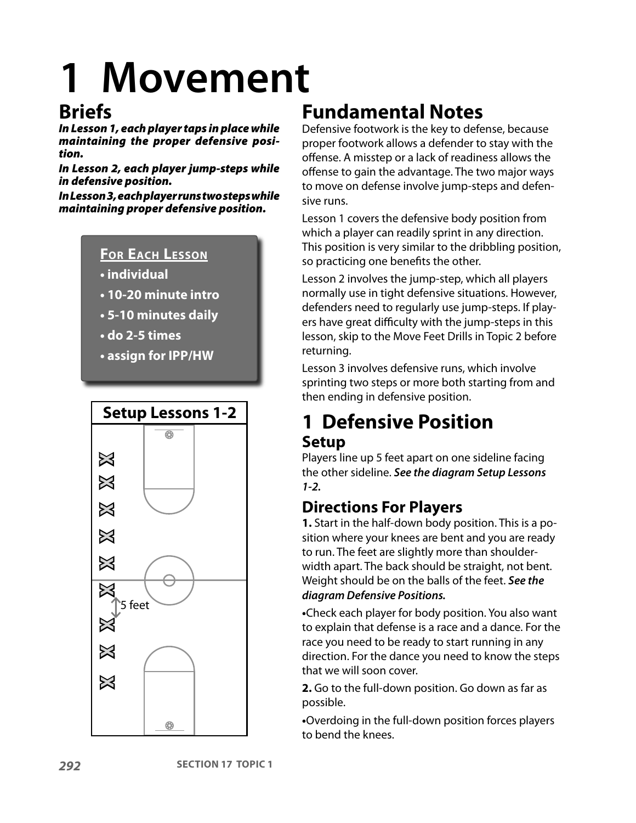# **1 Movement**

### **Briefs**

In Lesson 1, each player taps in place while maintaining the proper defensive position.

In Lesson 2, each player jump-steps while in defensive position.

In Lesson 3, each player runs two steps while maintaining proper defensive position.

#### **FOR EACH LESSON**

- **individual**
- **10-20 minute intro**
- **5-10 minutes daily**
- **do 2-5 times**
- **assign for IPP/HW**



## **Fundamental Notes**

Defensive footwork is the key to defense, because proper footwork allows a defender to stay with the offense. A misstep or a lack of readiness allows the offense to gain the advantage. The two major ways to move on defense involve jump-steps and defensive runs.

Lesson 1 covers the defensive body position from which a player can readily sprint in any direction. This position is very similar to the dribbling position, so practicing one benefits the other.

Lesson 2 involves the jump-step, which all players normally use in tight defensive situations. However, defenders need to regularly use jump-steps. If players have great difficulty with the jump-steps in this lesson, skip to the Move Feet Drills in Topic 2 before returning.

Lesson 3 involves defensive runs, which involve sprinting two steps or more both starting from and then ending in defensive position.

#### **1 Defensive Position Setup**

Players line up 5 feet apart on one sideline facing the other sideline. **See the diagram Setup Lessons 1-2.**

#### **Directions For Players**

**1.** Start in the half-down body position. This is a position where your knees are bent and you are ready to run. The feet are slightly more than shoulderwidth apart. The back should be straight, not bent. Weight should be on the balls of the feet. **See the diagram Defensive Positions.**

**•**Check each player for body position. You also want to explain that defense is a race and a dance. For the race you need to be ready to start running in any direction. For the dance you need to know the steps that we will soon cover.

**2.** Go to the full-down position. Go down as far as possible.

**•**Overdoing in the full-down position forces players to bend the knees.